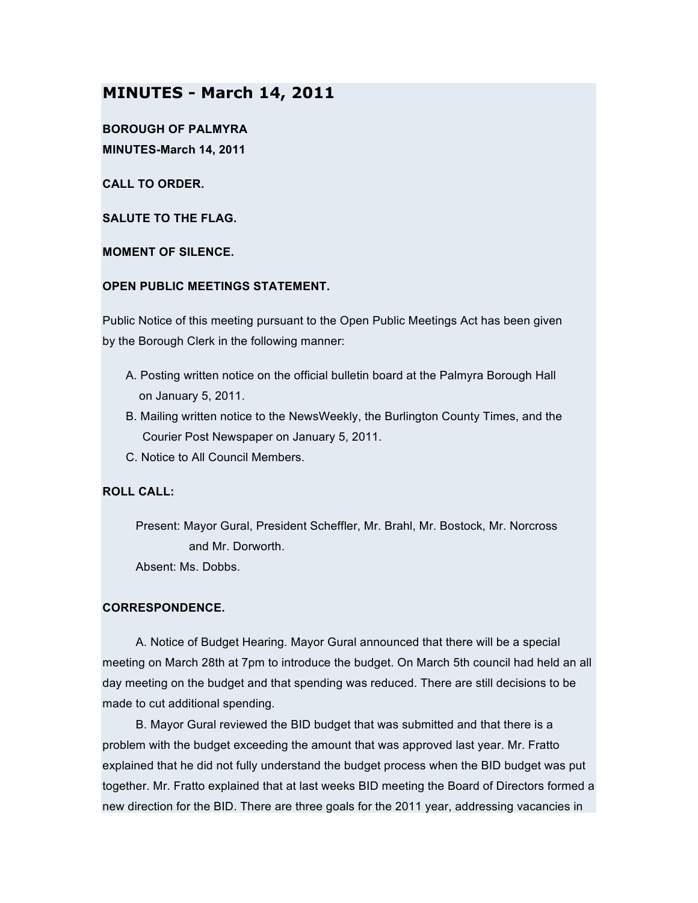# **MINUTES - March 14, 2011**

**BOROUGH OF PALMYRA MINUTES-March 14, 2011**

**CALL TO ORDER.**

**SALUTE TO THE FLAG.**

**MOMENT OF SILENCE.**

## **OPEN PUBLIC MEETINGS STATEMENT.**

Public Notice of this meeting pursuant to the Open Public Meetings Act has been given by the Borough Clerk in the following manner:

- A. Posting written notice on the official bulletin board at the Palmyra Borough Hall on January 5, 2011.
- B. Mailing written notice to the NewsWeekly, the Burlington County Times, and the Courier Post Newspaper on January 5, 2011.
- C. Notice to All Council Members.

## **ROLL CALL:**

Present: Mayor Gural, President Scheffler, Mr. Brahl, Mr. Bostock, Mr. Norcross and Mr. Dorworth. Absent: Ms. Dobbs.

## **CORRESPONDENCE.**

A. Notice of Budget Hearing. Mayor Gural announced that there will be a special meeting on March 28th at 7pm to introduce the budget. On March 5th council had held an all day meeting on the budget and that spending was reduced. There are still decisions to be made to cut additional spending.

B. Mayor Gural reviewed the BID budget that was submitted and that there is a problem with the budget exceeding the amount that was approved last year. Mr. Fratto explained that he did not fully understand the budget process when the BID budget was put together. Mr. Fratto explained that at last weeks BID meeting the Board of Directors formed a new direction for the BID. There are three goals for the 2011 year, addressing vacancies in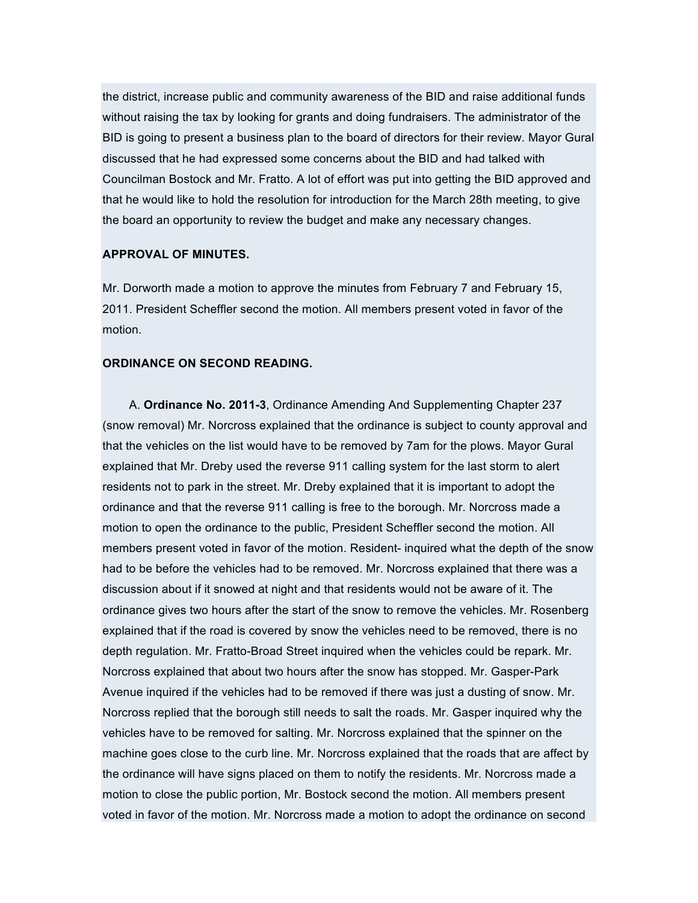the district, increase public and community awareness of the BID and raise additional funds without raising the tax by looking for grants and doing fundraisers. The administrator of the BID is going to present a business plan to the board of directors for their review. Mayor Gural discussed that he had expressed some concerns about the BID and had talked with Councilman Bostock and Mr. Fratto. A lot of effort was put into getting the BID approved and that he would like to hold the resolution for introduction for the March 28th meeting, to give the board an opportunity to review the budget and make any necessary changes.

#### **APPROVAL OF MINUTES.**

Mr. Dorworth made a motion to approve the minutes from February 7 and February 15, 2011. President Scheffler second the motion. All members present voted in favor of the motion.

#### **ORDINANCE ON SECOND READING.**

A. **Ordinance No. 2011-3**, Ordinance Amending And Supplementing Chapter 237 (snow removal) Mr. Norcross explained that the ordinance is subject to county approval and that the vehicles on the list would have to be removed by 7am for the plows. Mayor Gural explained that Mr. Dreby used the reverse 911 calling system for the last storm to alert residents not to park in the street. Mr. Dreby explained that it is important to adopt the ordinance and that the reverse 911 calling is free to the borough. Mr. Norcross made a motion to open the ordinance to the public, President Scheffler second the motion. All members present voted in favor of the motion. Resident- inquired what the depth of the snow had to be before the vehicles had to be removed. Mr. Norcross explained that there was a discussion about if it snowed at night and that residents would not be aware of it. The ordinance gives two hours after the start of the snow to remove the vehicles. Mr. Rosenberg explained that if the road is covered by snow the vehicles need to be removed, there is no depth regulation. Mr. Fratto-Broad Street inquired when the vehicles could be repark. Mr. Norcross explained that about two hours after the snow has stopped. Mr. Gasper-Park Avenue inquired if the vehicles had to be removed if there was just a dusting of snow. Mr. Norcross replied that the borough still needs to salt the roads. Mr. Gasper inquired why the vehicles have to be removed for salting. Mr. Norcross explained that the spinner on the machine goes close to the curb line. Mr. Norcross explained that the roads that are affect by the ordinance will have signs placed on them to notify the residents. Mr. Norcross made a motion to close the public portion, Mr. Bostock second the motion. All members present voted in favor of the motion. Mr. Norcross made a motion to adopt the ordinance on second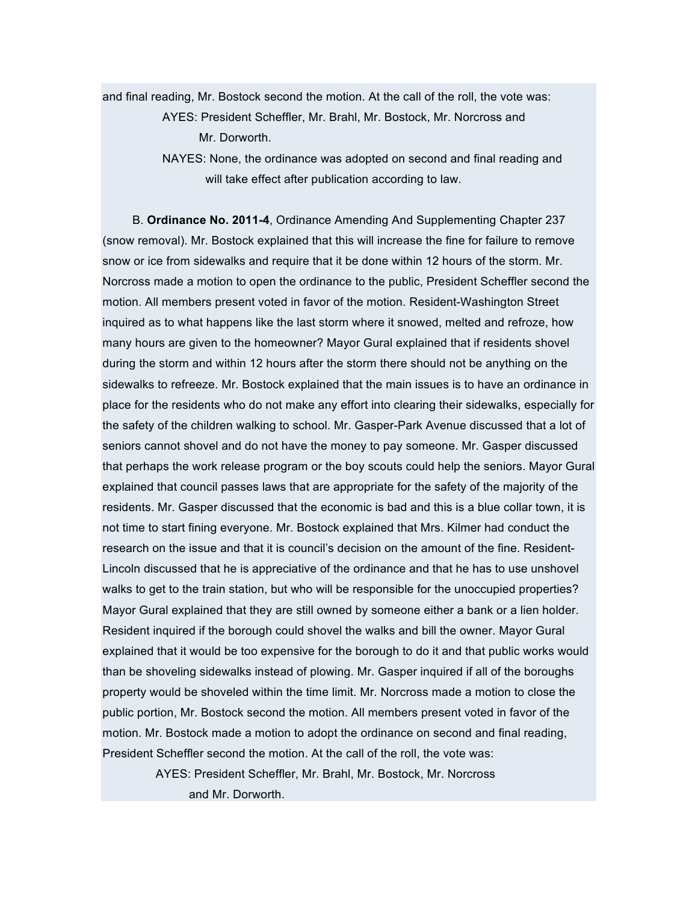and final reading, Mr. Bostock second the motion. At the call of the roll, the vote was:

AYES: President Scheffler, Mr. Brahl, Mr. Bostock, Mr. Norcross and Mr. Dorworth.

B. **Ordinance No. 2011-4**, Ordinance Amending And Supplementing Chapter 237 (snow removal). Mr. Bostock explained that this will increase the fine for failure to remove snow or ice from sidewalks and require that it be done within 12 hours of the storm. Mr. Norcross made a motion to open the ordinance to the public, President Scheffler second the motion. All members present voted in favor of the motion. Resident-Washington Street inquired as to what happens like the last storm where it snowed, melted and refroze, how many hours are given to the homeowner? Mayor Gural explained that if residents shovel during the storm and within 12 hours after the storm there should not be anything on the sidewalks to refreeze. Mr. Bostock explained that the main issues is to have an ordinance in place for the residents who do not make any effort into clearing their sidewalks, especially for the safety of the children walking to school. Mr. Gasper-Park Avenue discussed that a lot of seniors cannot shovel and do not have the money to pay someone. Mr. Gasper discussed that perhaps the work release program or the boy scouts could help the seniors. Mayor Gural explained that council passes laws that are appropriate for the safety of the majority of the residents. Mr. Gasper discussed that the economic is bad and this is a blue collar town, it is not time to start fining everyone. Mr. Bostock explained that Mrs. Kilmer had conduct the research on the issue and that it is council's decision on the amount of the fine. Resident-Lincoln discussed that he is appreciative of the ordinance and that he has to use unshovel walks to get to the train station, but who will be responsible for the unoccupied properties? Mayor Gural explained that they are still owned by someone either a bank or a lien holder. Resident inquired if the borough could shovel the walks and bill the owner. Mayor Gural explained that it would be too expensive for the borough to do it and that public works would than be shoveling sidewalks instead of plowing. Mr. Gasper inquired if all of the boroughs property would be shoveled within the time limit. Mr. Norcross made a motion to close the public portion, Mr. Bostock second the motion. All members present voted in favor of the motion. Mr. Bostock made a motion to adopt the ordinance on second and final reading, President Scheffler second the motion. At the call of the roll, the vote was:

> AYES: President Scheffler, Mr. Brahl, Mr. Bostock, Mr. Norcross and Mr. Dorworth.

NAYES: None, the ordinance was adopted on second and final reading and will take effect after publication according to law.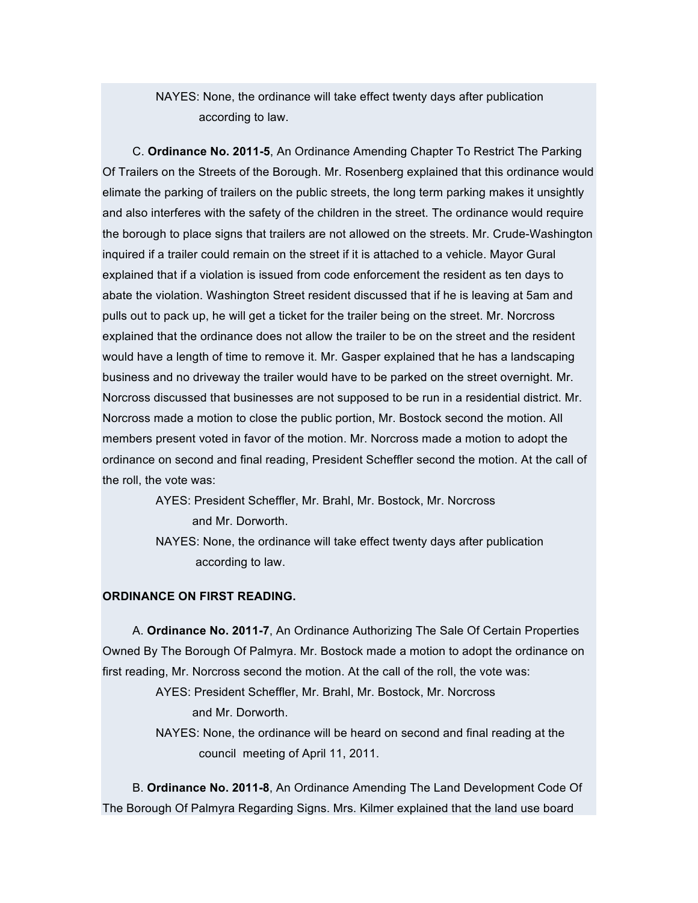NAYES: None, the ordinance will take effect twenty days after publication according to law.

C. **Ordinance No. 2011-5**, An Ordinance Amending Chapter To Restrict The Parking Of Trailers on the Streets of the Borough. Mr. Rosenberg explained that this ordinance would elimate the parking of trailers on the public streets, the long term parking makes it unsightly and also interferes with the safety of the children in the street. The ordinance would require the borough to place signs that trailers are not allowed on the streets. Mr. Crude-Washington inquired if a trailer could remain on the street if it is attached to a vehicle. Mayor Gural explained that if a violation is issued from code enforcement the resident as ten days to abate the violation. Washington Street resident discussed that if he is leaving at 5am and pulls out to pack up, he will get a ticket for the trailer being on the street. Mr. Norcross explained that the ordinance does not allow the trailer to be on the street and the resident would have a length of time to remove it. Mr. Gasper explained that he has a landscaping business and no driveway the trailer would have to be parked on the street overnight. Mr. Norcross discussed that businesses are not supposed to be run in a residential district. Mr. Norcross made a motion to close the public portion, Mr. Bostock second the motion. All members present voted in favor of the motion. Mr. Norcross made a motion to adopt the ordinance on second and final reading, President Scheffler second the motion. At the call of the roll, the vote was:

> AYES: President Scheffler, Mr. Brahl, Mr. Bostock, Mr. Norcross and Mr. Dorworth.

NAYES: None, the ordinance will take effect twenty days after publication according to law.

## **ORDINANCE ON FIRST READING.**

A. **Ordinance No. 2011-7**, An Ordinance Authorizing The Sale Of Certain Properties Owned By The Borough Of Palmyra. Mr. Bostock made a motion to adopt the ordinance on first reading, Mr. Norcross second the motion. At the call of the roll, the vote was:

> AYES: President Scheffler, Mr. Brahl, Mr. Bostock, Mr. Norcross and Mr. Dorworth. NAYES: None, the ordinance will be heard on second and final reading at the council meeting of April 11, 2011.

B. **Ordinance No. 2011-8**, An Ordinance Amending The Land Development Code Of The Borough Of Palmyra Regarding Signs. Mrs. Kilmer explained that the land use board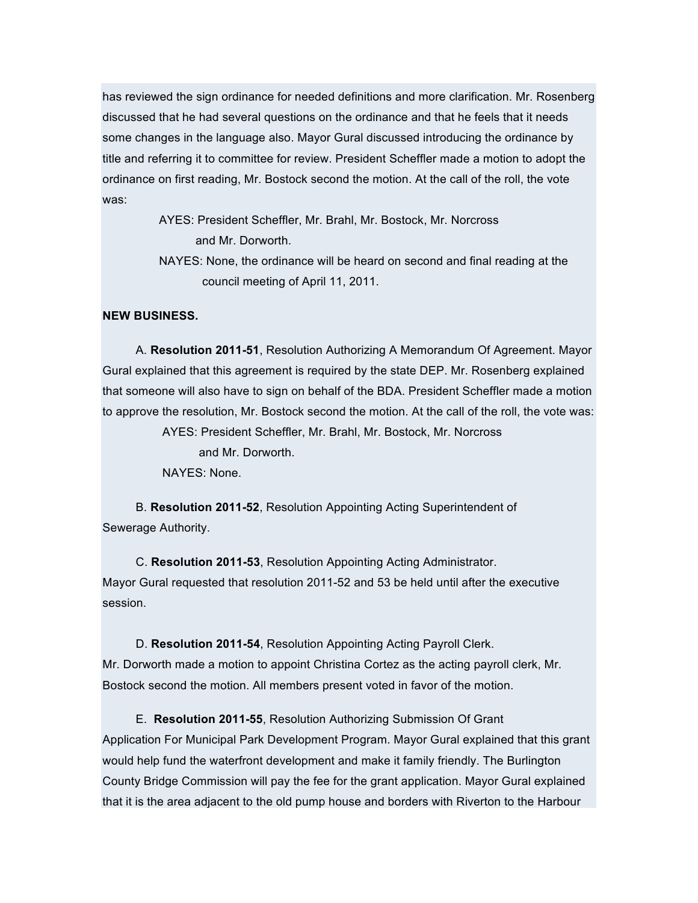has reviewed the sign ordinance for needed definitions and more clarification. Mr. Rosenberg discussed that he had several questions on the ordinance and that he feels that it needs some changes in the language also. Mayor Gural discussed introducing the ordinance by title and referring it to committee for review. President Scheffler made a motion to adopt the ordinance on first reading, Mr. Bostock second the motion. At the call of the roll, the vote was:

> AYES: President Scheffler, Mr. Brahl, Mr. Bostock, Mr. Norcross and Mr. Dorworth.

NAYES: None, the ordinance will be heard on second and final reading at the council meeting of April 11, 2011.

#### **NEW BUSINESS.**

A. **Resolution 2011-51**, Resolution Authorizing A Memorandum Of Agreement. Mayor Gural explained that this agreement is required by the state DEP. Mr. Rosenberg explained that someone will also have to sign on behalf of the BDA. President Scheffler made a motion to approve the resolution, Mr. Bostock second the motion. At the call of the roll, the vote was:

AYES: President Scheffler, Mr. Brahl, Mr. Bostock, Mr. Norcross

and Mr. Dorworth.

NAYES: None.

B. **Resolution 2011-52**, Resolution Appointing Acting Superintendent of Sewerage Authority.

C. **Resolution 2011-53**, Resolution Appointing Acting Administrator. Mayor Gural requested that resolution 2011-52 and 53 be held until after the executive session.

D. **Resolution 2011-54**, Resolution Appointing Acting Payroll Clerk. Mr. Dorworth made a motion to appoint Christina Cortez as the acting payroll clerk, Mr. Bostock second the motion. All members present voted in favor of the motion.

E. **Resolution 2011-55**, Resolution Authorizing Submission Of Grant Application For Municipal Park Development Program. Mayor Gural explained that this grant would help fund the waterfront development and make it family friendly. The Burlington County Bridge Commission will pay the fee for the grant application. Mayor Gural explained that it is the area adjacent to the old pump house and borders with Riverton to the Harbour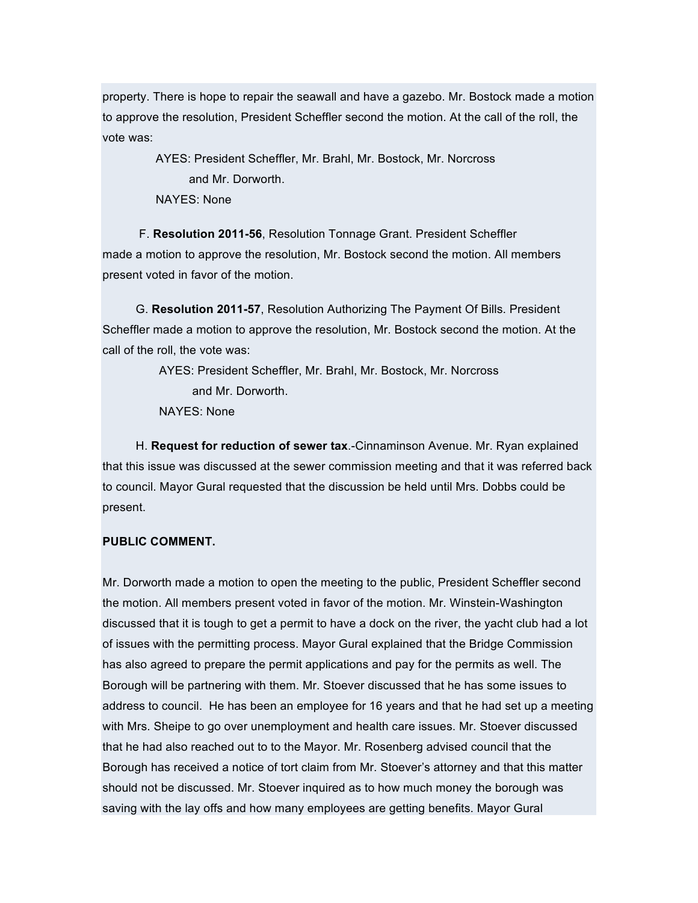property. There is hope to repair the seawall and have a gazebo. Mr. Bostock made a motion to approve the resolution, President Scheffler second the motion. At the call of the roll, the vote was:

> AYES: President Scheffler, Mr. Brahl, Mr. Bostock, Mr. Norcross and Mr. Dorworth. NAYES: None

F. **Resolution 2011-56**, Resolution Tonnage Grant. President Scheffler made a motion to approve the resolution, Mr. Bostock second the motion. All members present voted in favor of the motion.

G. **Resolution 2011-57**, Resolution Authorizing The Payment Of Bills. President Scheffler made a motion to approve the resolution, Mr. Bostock second the motion. At the call of the roll, the vote was:

> AYES: President Scheffler, Mr. Brahl, Mr. Bostock, Mr. Norcross and Mr. Dorworth. NAYES: None

H. **Request for reduction of sewer tax**.-Cinnaminson Avenue. Mr. Ryan explained that this issue was discussed at the sewer commission meeting and that it was referred back to council. Mayor Gural requested that the discussion be held until Mrs. Dobbs could be present.

#### **PUBLIC COMMENT.**

Mr. Dorworth made a motion to open the meeting to the public, President Scheffler second the motion. All members present voted in favor of the motion. Mr. Winstein-Washington discussed that it is tough to get a permit to have a dock on the river, the yacht club had a lot of issues with the permitting process. Mayor Gural explained that the Bridge Commission has also agreed to prepare the permit applications and pay for the permits as well. The Borough will be partnering with them. Mr. Stoever discussed that he has some issues to address to council. He has been an employee for 16 years and that he had set up a meeting with Mrs. Sheipe to go over unemployment and health care issues. Mr. Stoever discussed that he had also reached out to to the Mayor. Mr. Rosenberg advised council that the Borough has received a notice of tort claim from Mr. Stoever's attorney and that this matter should not be discussed. Mr. Stoever inquired as to how much money the borough was saving with the lay offs and how many employees are getting benefits. Mayor Gural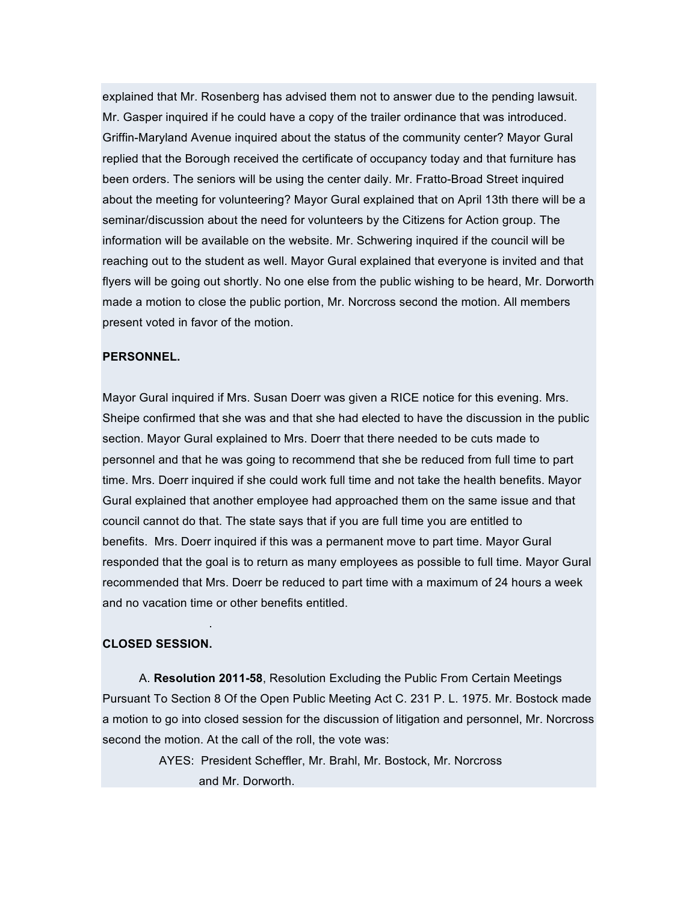explained that Mr. Rosenberg has advised them not to answer due to the pending lawsuit. Mr. Gasper inquired if he could have a copy of the trailer ordinance that was introduced. Griffin-Maryland Avenue inquired about the status of the community center? Mayor Gural replied that the Borough received the certificate of occupancy today and that furniture has been orders. The seniors will be using the center daily. Mr. Fratto-Broad Street inquired about the meeting for volunteering? Mayor Gural explained that on April 13th there will be a seminar/discussion about the need for volunteers by the Citizens for Action group. The information will be available on the website. Mr. Schwering inquired if the council will be reaching out to the student as well. Mayor Gural explained that everyone is invited and that flyers will be going out shortly. No one else from the public wishing to be heard, Mr. Dorworth made a motion to close the public portion, Mr. Norcross second the motion. All members present voted in favor of the motion.

### **PERSONNEL.**

Mayor Gural inquired if Mrs. Susan Doerr was given a RICE notice for this evening. Mrs. Sheipe confirmed that she was and that she had elected to have the discussion in the public section. Mayor Gural explained to Mrs. Doerr that there needed to be cuts made to personnel and that he was going to recommend that she be reduced from full time to part time. Mrs. Doerr inquired if she could work full time and not take the health benefits. Mayor Gural explained that another employee had approached them on the same issue and that council cannot do that. The state says that if you are full time you are entitled to benefits. Mrs. Doerr inquired if this was a permanent move to part time. Mayor Gural responded that the goal is to return as many employees as possible to full time. Mayor Gural recommended that Mrs. Doerr be reduced to part time with a maximum of 24 hours a week and no vacation time or other benefits entitled.

#### **CLOSED SESSION.**

.

A. **Resolution 2011-58**, Resolution Excluding the Public From Certain Meetings Pursuant To Section 8 Of the Open Public Meeting Act C. 231 P. L. 1975. Mr. Bostock made a motion to go into closed session for the discussion of litigation and personnel, Mr. Norcross second the motion. At the call of the roll, the vote was:

> AYES: President Scheffler, Mr. Brahl, Mr. Bostock, Mr. Norcross and Mr. Dorworth.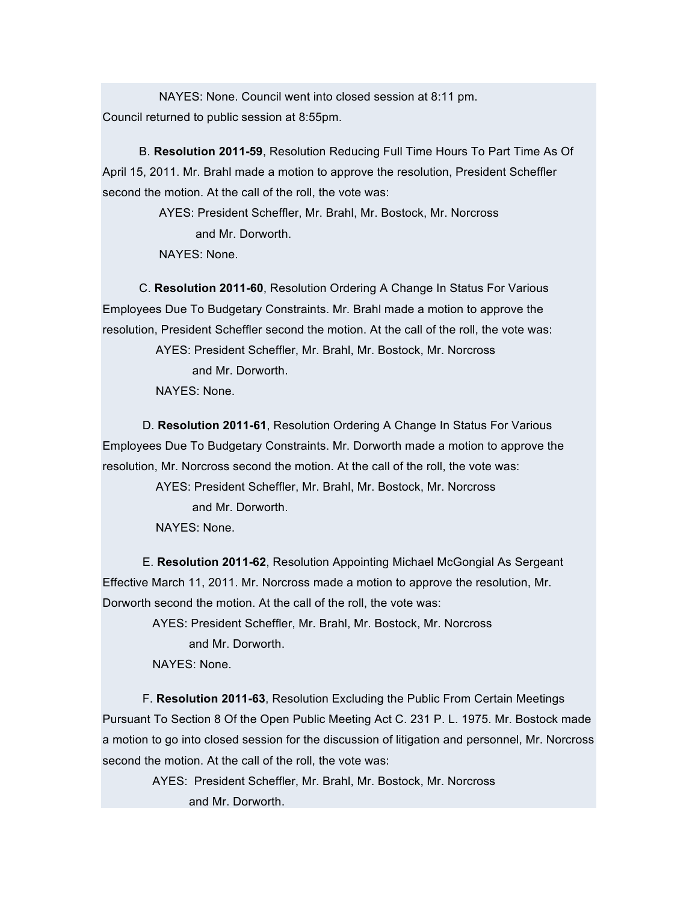NAYES: None. Council went into closed session at 8:11 pm. Council returned to public session at 8:55pm.

B. **Resolution 2011-59**, Resolution Reducing Full Time Hours To Part Time As Of April 15, 2011. Mr. Brahl made a motion to approve the resolution, President Scheffler second the motion. At the call of the roll, the vote was:

> AYES: President Scheffler, Mr. Brahl, Mr. Bostock, Mr. Norcross and Mr. Dorworth. NAYES: None.

C. **Resolution 2011-60**, Resolution Ordering A Change In Status For Various Employees Due To Budgetary Constraints. Mr. Brahl made a motion to approve the resolution, President Scheffler second the motion. At the call of the roll, the vote was:

> AYES: President Scheffler, Mr. Brahl, Mr. Bostock, Mr. Norcross and Mr. Dorworth.

NAYES: None.

D. **Resolution 2011-61**, Resolution Ordering A Change In Status For Various Employees Due To Budgetary Constraints. Mr. Dorworth made a motion to approve the resolution, Mr. Norcross second the motion. At the call of the roll, the vote was:

> AYES: President Scheffler, Mr. Brahl, Mr. Bostock, Mr. Norcross and Mr. Dorworth.

NAYES: None.

E. **Resolution 2011-62**, Resolution Appointing Michael McGongial As Sergeant Effective March 11, 2011. Mr. Norcross made a motion to approve the resolution, Mr. Dorworth second the motion. At the call of the roll, the vote was:

> AYES: President Scheffler, Mr. Brahl, Mr. Bostock, Mr. Norcross and Mr. Dorworth. NAYES: None.

F. **Resolution 2011-63**, Resolution Excluding the Public From Certain Meetings Pursuant To Section 8 Of the Open Public Meeting Act C. 231 P. L. 1975. Mr. Bostock made a motion to go into closed session for the discussion of litigation and personnel, Mr. Norcross second the motion. At the call of the roll, the vote was:

AYES: President Scheffler, Mr. Brahl, Mr. Bostock, Mr. Norcross and Mr. Dorworth.